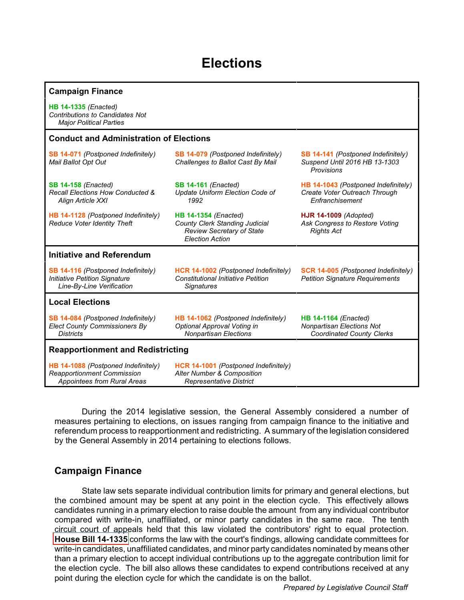# **Elections**

| <b>Campaign Finance</b>                                                                                        |                                                                                                                                    |                                                                                                     |
|----------------------------------------------------------------------------------------------------------------|------------------------------------------------------------------------------------------------------------------------------------|-----------------------------------------------------------------------------------------------------|
| <b>HB 14-1335 (Enacted)</b><br><b>Contributions to Candidates Not</b><br><b>Major Political Parties</b>        |                                                                                                                                    |                                                                                                     |
| <b>Conduct and Administration of Elections</b>                                                                 |                                                                                                                                    |                                                                                                     |
| SB 14-071 (Postponed Indefinitely)<br>Mail Ballot Opt Out                                                      | <b>SB 14-079</b> (Postponed Indefinitely)<br>Challenges to Ballot Cast By Mail                                                     | SB 14-141 (Postponed Indefinitely)<br>Suspend Until 2016 HB 13-1303<br>Provisions                   |
| <b>SB 14-158 (Enacted)</b><br>Recall Elections How Conducted &<br>Align Article XXI                            | <b>SB 14-161 (Enacted)</b><br>Update Uniform Election Code of<br>1992                                                              | HB 14-1043 (Postponed Indefinitely)<br>Create Voter Outreach Through<br>Enfranchisement             |
| HB 14-1128 (Postponed Indefinitely)<br>Reduce Voter Identity Theft                                             | <b>HB 14-1354 (Enacted)</b><br><b>County Clerk Standing Judicial</b><br><b>Review Secretary of State</b><br><b>Election Action</b> | <b>HJR 14-1009</b> (Adopted)<br>Ask Congress to Restore Voting<br><b>Rights Act</b>                 |
| <b>Initiative and Referendum</b>                                                                               |                                                                                                                                    |                                                                                                     |
| SB 14-116 (Postponed Indefinitely)<br><b>Initiative Petition Signature</b><br>Line-By-Line Verification        | <b>HCR 14-1002</b> (Postponed Indefinitely)<br><b>Constitutional Initiative Petition</b><br><b>Signatures</b>                      | <b>SCR 14-005</b> (Postponed Indefinitely)<br><b>Petition Signature Requirements</b>                |
| <b>Local Elections</b>                                                                                         |                                                                                                                                    |                                                                                                     |
| SB 14-084 (Postponed Indefinitely)<br><b>Elect County Commissioners By</b><br><b>Districts</b>                 | HB 14-1062 (Postponed Indefinitely)<br>Optional Approval Voting in<br><b>Nonpartisan Elections</b>                                 | <b>HB 14-1164 (Enacted)</b><br><b>Nonpartisan Elections Not</b><br><b>Coordinated County Clerks</b> |
| <b>Reapportionment and Redistricting</b>                                                                       |                                                                                                                                    |                                                                                                     |
| HB 14-1088 (Postponed Indefinitely)<br><b>Reapportionment Commission</b><br><b>Appointees from Rural Areas</b> | HCR 14-1001 (Postponed Indefinitely)<br><b>Alter Number &amp; Composition</b><br>Representative District                           |                                                                                                     |

During the 2014 legislative session, the General Assembly considered a number of measures pertaining to elections, on issues ranging from campaign finance to the initiative and referendum process to reapportionment and redistricting. A summary of the legislation considered by the General Assembly in 2014 pertaining to elections follows.

## **Campaign Finance**

State law sets separate individual contribution limits for primary and general elections, but the combined amount may be spent at any point in the election cycle. This effectively allows candidates running in a primary election to raise double the amount from any individual contributor compared with write-in, unaffiliated, or minor party candidates in the same race. The tenth circuit court of appeals held that this law violated the contributors' right to equal protection. **[House Bill 14-1335](http://www.leg.state.co.us/clics/clics2014a/csl.nsf/fsbillcont/589DD917BC7A6EF887257C8400012F66?Open&file=1335_enr.pdf)** conforms the law with the court's findings, allowing candidate committees for write-in candidates, unaffiliated candidates, and minor party candidates nominated by means other than a primary election to accept individual contributions up to the aggregate contribution limit for the election cycle. The bill also allows these candidates to expend contributions received at any point during the election cycle for which the candidate is on the ballot.

*Prepared by Legislative Council Staff*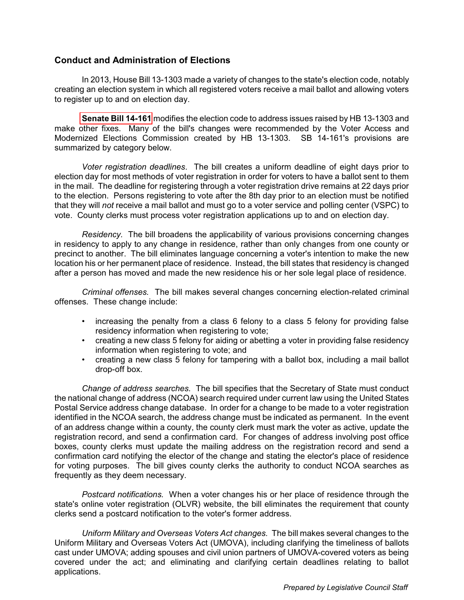#### <span id="page-1-0"></span>**Conduct and Administration of Elections**

In 2013, House Bill 13-1303 made a variety of changes to the state's election code, notably creating an election system in which all registered voters receive a mail ballot and allowing voters to register up to and on election day.

**[Senate Bill 14-161](http://www.leg.state.co.us/clics/clics2014a/csl.nsf/fsbillcont/B509AF9F07C9E4FB87257C300006C353?Open&file=161_enr.pdf)** modifies the election code to address issues raised by HB 13-1303 and make other fixes. Many of the bill's changes were recommended by the Voter Access and Modernized Elections Commission created by HB 13-1303. SB 14-161's provisions are summarized by category below.

*Voter registration deadlines*. The bill creates a uniform deadline of eight days prior to election day for most methods of voter registration in order for voters to have a ballot sent to them in the mail. The deadline for registering through a voter registration drive remains at 22 days prior to the election. Persons registering to vote after the 8th day prior to an election must be notified that they will *not* receive a mail ballot and must go to a voter service and polling center (VSPC) to vote. County clerks must process voter registration applications up to and on election day.

*Residency.* The bill broadens the applicability of various provisions concerning changes in residency to apply to any change in residence, rather than only changes from one county or precinct to another. The bill eliminates language concerning a voter's intention to make the new location his or her permanent place of residence. Instead, the bill states that residency is changed after a person has moved and made the new residence his or her sole legal place of residence.

*Criminal offenses.* The bill makes several changes concerning election-related criminal offenses. These change include:

- increasing the penalty from a class 6 felony to a class 5 felony for providing false residency information when registering to vote;
- creating a new class 5 felony for aiding or abetting a voter in providing false residency information when registering to vote; and
- creating a new class 5 felony for tampering with a ballot box, including a mail ballot drop-off box.

*Change of address searches.* The bill specifies that the Secretary of State must conduct the national change of address (NCOA) search required under current law using the United States Postal Service address change database. In order for a change to be made to a voter registration identified in the NCOA search, the address change must be indicated as permanent. In the event of an address change within a county, the county clerk must mark the voter as active, update the registration record, and send a confirmation card. For changes of address involving post office boxes, county clerks must update the mailing address on the registration record and send a confirmation card notifying the elector of the change and stating the elector's place of residence for voting purposes. The bill gives county clerks the authority to conduct NCOA searches as frequently as they deem necessary.

*Postcard notifications.* When a voter changes his or her place of residence through the state's online voter registration (OLVR) website, the bill eliminates the requirement that county clerks send a postcard notification to the voter's former address.

*Uniform Military and Overseas Voters Act changes.* The bill makes several changes to the Uniform Military and Overseas Voters Act (UMOVA), including clarifying the timeliness of ballots cast under UMOVA; adding spouses and civil union partners of UMOVA-covered voters as being covered under the act; and eliminating and clarifying certain deadlines relating to ballot applications.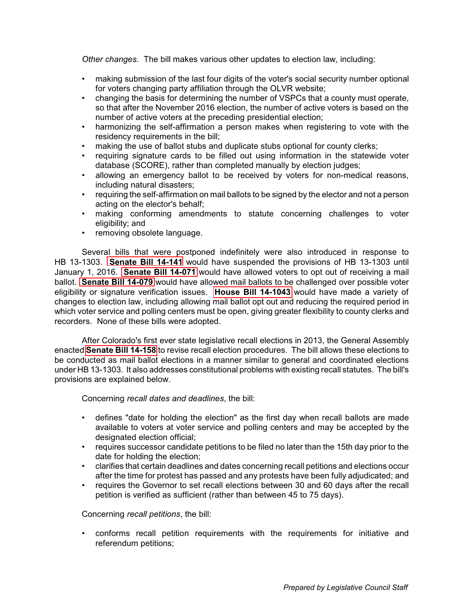<span id="page-2-0"></span>*Other changes.* The bill makes various other updates to election law, including:

- making submission of the last four digits of the voter's social security number optional for voters changing party affiliation through the OLVR website;
- changing the basis for determining the number of VSPCs that a county must operate, so that after the November 2016 election, the number of active voters is based on the number of active voters at the preceding presidential election;
- harmonizing the self-affirmation a person makes when registering to vote with the residency requirements in the bill;
- making the use of ballot stubs and duplicate stubs optional for county clerks;
- requiring signature cards to be filled out using information in the statewide voter database (SCORE), rather than completed manually by election judges;
- allowing an emergency ballot to be received by voters for non-medical reasons, including natural disasters;
- requiring the self-affirmation on mail ballots to be signed by the elector and not a person acting on the elector's behalf;
- making conforming amendments to statute concerning challenges to voter eligibility; and
- removing obsolete language.

Several bills that were postponed indefinitely were also introduced in response to HB 13-1303. **[Senate Bill 14-141](http://www.leg.state.co.us/clics/clics2014a/csl.nsf/fsbillcont/550063E506C2139887257C6A00757DF2?Open&file=141_01.pdf)** would have suspended the provisions of HB 13-1303 until January 1, 2016. **[Senate Bill 14-071](http://www.leg.state.co.us/clics/clics2014a/csl.nsf/fsbillcont/01031F75608BD73087257C360078E238?Open&file=071_01.pdf)** would have allowed voters to opt out of receiving a mail ballot. **[Senate Bill 14-079](http://www.leg.state.co.us/clics/clics2014a/csl.nsf/fsbillcont/639A3B10E547A38C87257C360078D570?Open&file=079_01.pdf)** would have allowed mail ballots to be challenged over possible voter eligibility or signature verification issues. **[House Bill 14-1043](http://www.leg.state.co.us/clics/clics2014a/csl.nsf/fsbillcont/CE688A0145B37DB287257C360078D40F?Open&file=1043_01.pdf)** would have made a variety of changes to election law, including allowing mail ballot opt out and reducing the required period in which voter service and polling centers must be open, giving greater flexibility to county clerks and recorders. None of these bills were adopted.

After Colorado's first ever state legislative recall elections in 2013, the General Assembly enacted **[Senate Bill 14-158](http://www.leg.state.co.us/clics/clics2014a/csl.nsf/fsbillcont/875B3D522F44179387257C300006C9E9?Open&file=158_enr.pdf)** to revise recall election procedures. The bill allows these elections to be conducted as mail ballot elections in a manner similar to general and coordinated elections under HB 13-1303. It also addresses constitutional problems with existing recall statutes. The bill's provisions are explained below.

Concerning *recall dates and deadlines*, the bill:

- defines "date for holding the election" as the first day when recall ballots are made available to voters at voter service and polling centers and may be accepted by the designated election official;
- requires successor candidate petitions to be filed no later than the 15th day prior to the date for holding the election;
- clarifies that certain deadlines and dates concerning recall petitions and elections occur after the time for protest has passed and any protests have been fully adjudicated; and
- requires the Governor to set recall elections between 30 and 60 days after the recall petition is verified as sufficient (rather than between 45 to 75 days).

Concerning *recall petitions*, the bill:

• conforms recall petition requirements with the requirements for initiative and referendum petitions;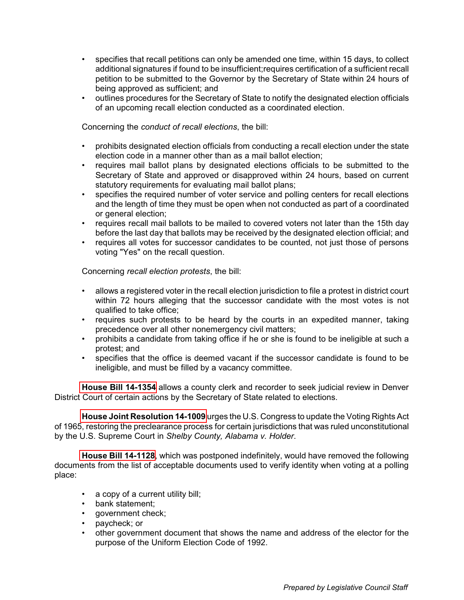- <span id="page-3-0"></span>• specifies that recall petitions can only be amended one time, within 15 days, to collect additional signatures if found to be insufficient;requires certification of a sufficient recall petition to be submitted to the Governor by the Secretary of State within 24 hours of being approved as sufficient; and
- outlines procedures for the Secretary of State to notify the designated election officials of an upcoming recall election conducted as a coordinated election.

Concerning the *conduct of recall elections*, the bill:

- prohibits designated election officials from conducting a recall election under the state election code in a manner other than as a mail ballot election;
- requires mail ballot plans by designated elections officials to be submitted to the Secretary of State and approved or disapproved within 24 hours, based on current statutory requirements for evaluating mail ballot plans;
- specifies the required number of voter service and polling centers for recall elections and the length of time they must be open when not conducted as part of a coordinated or general election;
- requires recall mail ballots to be mailed to covered voters not later than the 15th day before the last day that ballots may be received by the designated election official; and
- requires all votes for successor candidates to be counted, not just those of persons voting "Yes" on the recall question.

Concerning *recall election protests*, the bill:

- allows a registered voter in the recall election jurisdiction to file a protest in district court within 72 hours alleging that the successor candidate with the most votes is not qualified to take office;
- requires such protests to be heard by the courts in an expedited manner, taking precedence over all other nonemergency civil matters;
- prohibits a candidate from taking office if he or she is found to be ineligible at such a protest; and
- specifies that the office is deemed vacant if the successor candidate is found to be ineligible, and must be filled by a vacancy committee.

**[House Bill 14-1354](http://www.leg.state.co.us/clics/clics2014a/csl.nsf/fsbillcont/A01718C969E6E8A387257C97005BA70B?Open&file=1354_enr.pdf)** allows a county clerk and recorder to seek judicial review in Denver District Court of certain actions by the Secretary of State related to elections.

**[House Joint Resolution 14-1009](http://www.leg.state.co.us/clics/clics2014a/csl.nsf/fsbillcont/9BF939691A4C543D87257C4A007195E8?Open&file=HJR1009_enr.pdf)** urges the U.S. Congress to update the Voting Rights Act of 1965, restoring the preclearance process for certain jurisdictions that was ruled unconstitutional by the U.S. Supreme Court in *Shelby County, Alabama v. Holder*.

**[House Bill 14-1128](http://www.leg.state.co.us/clics/clics2014a/csl.nsf/fsbillcont/23D485180155045E87257C36007558A0?Open&file=1128_01.pdf)**, which was postponed indefinitely, would have removed the following documents from the list of acceptable documents used to verify identity when voting at a polling place:

- a copy of a current utility bill;
- bank statement;
- government check:
- paycheck; or
- other government document that shows the name and address of the elector for the purpose of the Uniform Election Code of 1992.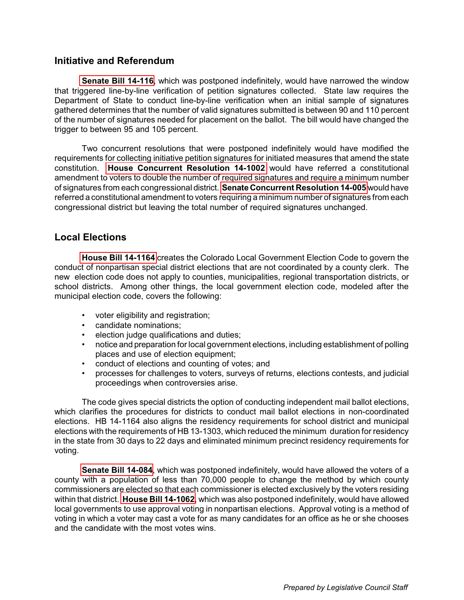### <span id="page-4-0"></span>**Initiative and Referendum**

**[Senate Bill 14-116](http://www.leg.state.co.us/clics/clics2014a/csl.nsf/fsbillcont/6BC42C3E86209A4187257C62005A3D6A?Open&file=116_01.pdf)**, which was postponed indefinitely, would have narrowed the window that triggered line-by-line verification of petition signatures collected. State law requires the Department of State to conduct line-by-line verification when an initial sample of signatures gathered determines that the number of valid signatures submitted is between 90 and 110 percent of the number of signatures needed for placement on the ballot. The bill would have changed the trigger to between 95 and 105 percent.

Two concurrent resolutions that were postponed indefinitely would have modified the requirements for collecting initiative petition signatures for initiated measures that amend the state constitution. **[House Concurrent Resolution 14-1002](http://www.leg.state.co.us/clics/clics2014a/csl.nsf/fsbillcont/2FE1DF51610D828887257C300005BA21?Open&file=HCR1002_rn2.pdf)** would have referred a constitutional amendment to voters to double the number of required signatures and require a minimum number of signatures from each congressional district. **[Senate Concurrent Resolution 14-005](http://www.leg.state.co.us/clics/clics2014a/csl.nsf/fsbillcont/8AC05E54EB49D4CD87257CC8005112AA?Open&file=SCR005_01.pdf)** would have referred a constitutional amendment to voters requiring a minimum number of signatures from each congressional district but leaving the total number of required signatures unchanged.

## **Local Elections**

**[House Bill 14-1164](http://www.leg.state.co.us/clics/clics2014a/csl.nsf/fsbillcont/6125AA4642B2117C87257C300005FD7D?Open&file=1164_enr.pdf)** creates the Colorado Local Government Election Code to govern the conduct of nonpartisan special district elections that are not coordinated by a county clerk. The new election code does not apply to counties, municipalities, regional transportation districts, or school districts. Among other things, the local government election code, modeled after the municipal election code, covers the following:

- voter eligibility and registration;
- candidate nominations;
- election judge qualifications and duties;
- notice and preparation for local government elections, including establishment of polling places and use of election equipment;
- conduct of elections and counting of votes; and
- processes for challenges to voters, surveys of returns, elections contests, and judicial proceedings when controversies arise.

The code gives special districts the option of conducting independent mail ballot elections, which clarifies the procedures for districts to conduct mail ballot elections in non-coordinated elections. HB 14-1164 also aligns the residency requirements for school district and municipal elections with the requirements of HB 13-1303, which reduced the minimum duration for residency in the state from 30 days to 22 days and eliminated minimum precinct residency requirements for voting.

**[Senate Bill 14-084](http://www.leg.state.co.us/clics/clics2014a/csl.nsf/fsbillcont/BA7B917621BC7C0187257C39006665FE?Open&file=084_ren.pdf)**, which was postponed indefinitely, would have allowed the voters of a county with a population of less than 70,000 people to change the method by which county commissioners are elected so that each commissioner is elected exclusively by the voters residing within that district. **[House Bill 14-1062](http://www.leg.state.co.us/clics/clics2014a/csl.nsf/fsbillcont/9439F35A80CF636987257C300006CAB1?Open&file=1062_01.pdf)**, which was also postponed indefinitely, would have allowed local governments to use approval voting in nonpartisan elections. Approval voting is a method of voting in which a voter may cast a vote for as many candidates for an office as he or she chooses and the candidate with the most votes wins.